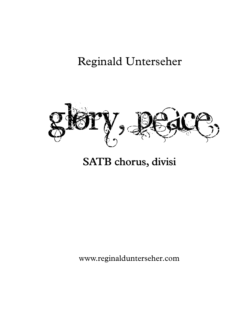## Reginald Unterseher



SATB chorus, divisi

www.reginaldunterseher.com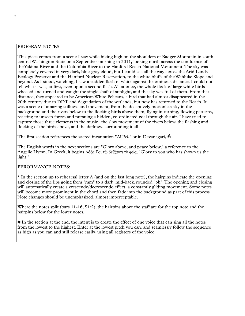## PROGRAM NOTES

This piece comes from a scene I saw while hiking high on the shoulders of Badger Mountain in south centralWashington State on a September morning in 2011, looking north across the confluence of theYakima River and the Columbia River to the Hanford Reach National Monument.The sky was completely covered in very dark, blue-gray cloud, but I could see all the way across the Arid Lands Ecology Preserve and the Hanford Nuclear Reservation, to the white bluffs of theWahluke Slope and beyond. As I stood, watching, I saw a sudden flash of white against the ominous distance. I could not tell what it was, at first, even upon a second flash. All at once, the whole flock of large white birds wheeled and turned and caught the single shaft of sunlight, and the sky was full of them. From that distance, they appeared to be AmericanWhite Pelicans, a bird that had almost disappeared in the 20th century due to DDT and degradation of the wetlands, but now has returned to the Reach. It was a scene of amazing stillness and movement, from the deceptively motionless sky in the background and the rivers below to the flocking birds above them, flying in turning, flowing patterns, reacting to unseen forces and pursuing a hidden, co-ordinated goal through the air. I have tried to capture those three elements in the music--the slow movement of the rivers below, the flashing and flocking of the birds above, and the darkness surrounding it all.

The first section references the sacred incantation "AUM," or in Devanagari, **ॐ**.

The English words in the next sections are "Glory above, and peace below," a reference to the Angelic Hymn. In Greek, it begins Δόξα Σοι τῷ δείξαντι τὸ φῶς,"Glory to you who has shown us the light."

## PERORMANCE NOTES:

 $\star$  In the section up to rehearsal letter A (and on the last long note), the hairpins indicate the opening and closing of the lips going from "mm" to a dark, mid-back, rounded "oh".The opening and closing will automatically create a crescendo/decrescendo effect, a constantly gliding movement. Some notes will become more prominent in the chord and then fade into the background as part of this process. Note changes should be unemphasized, almost imperceptable.

Where the notes split (bars  $11-16$ ,  $S1/2$ ), the hairpins above the staff are for the top note and the hairpins below for the lower notes.

# In the section at the end, the intent is to create the effect of one voice that can sing all the notes from the lowest to the highest. Enter at the lowest pitch you can, and seamlessly follow the sequence as high as you can and still release easily, using all registers of the voice.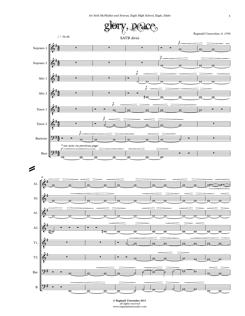

© Reginald Unterseher 2011<br>*all rights reserved*<br>www.reginaldunterseher.com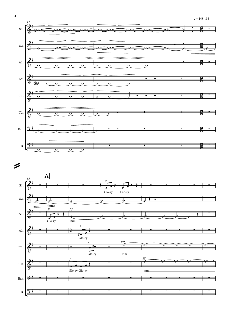



4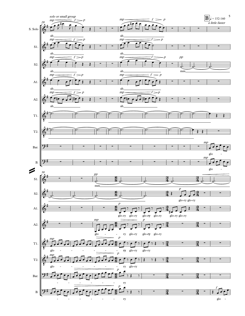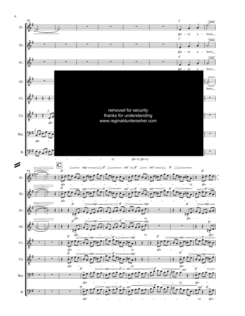

6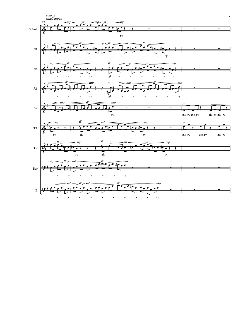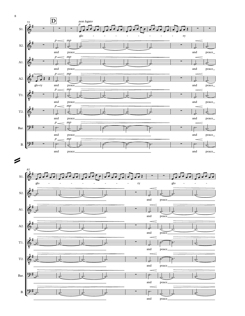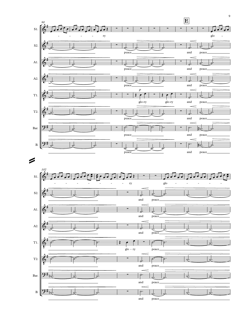

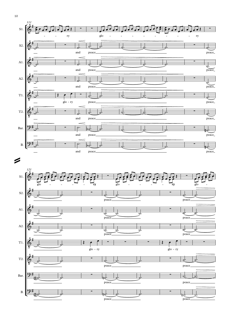

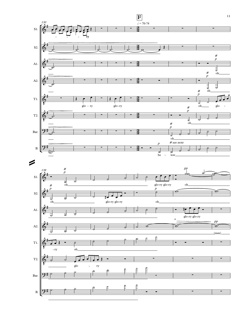